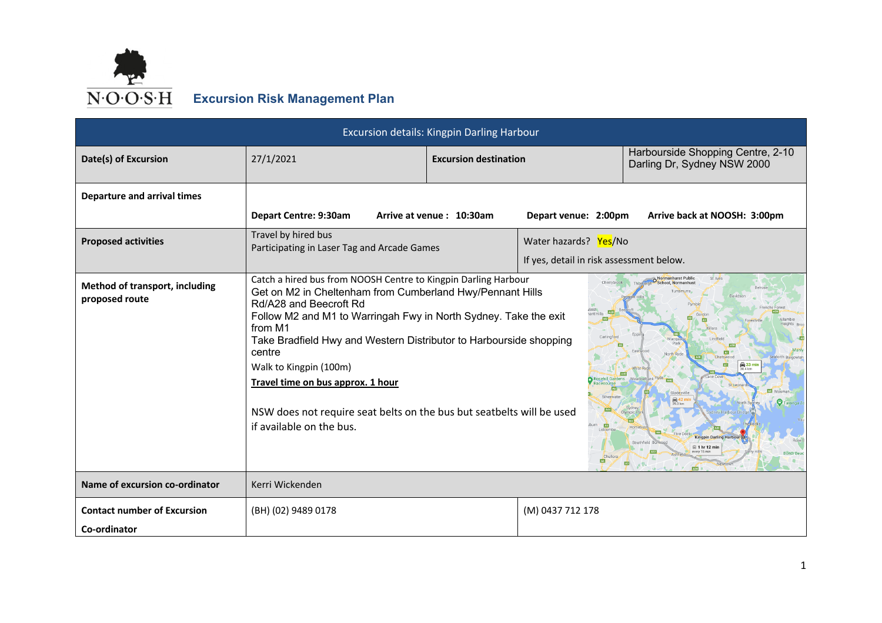

## **Excursion Risk Management Plan**

|                                                    | Excursion details: Kingpin Darling Harbour                                                                                                                                                                                                                                                                                                                                                                                                                                               |                              |                                                                   |                                                                                                                                 |  |  |  |
|----------------------------------------------------|------------------------------------------------------------------------------------------------------------------------------------------------------------------------------------------------------------------------------------------------------------------------------------------------------------------------------------------------------------------------------------------------------------------------------------------------------------------------------------------|------------------------------|-------------------------------------------------------------------|---------------------------------------------------------------------------------------------------------------------------------|--|--|--|
| Date(s) of Excursion                               | 27/1/2021                                                                                                                                                                                                                                                                                                                                                                                                                                                                                | <b>Excursion destination</b> |                                                                   | Harbourside Shopping Centre, 2-10<br>Darling Dr, Sydney NSW 2000                                                                |  |  |  |
| <b>Departure and arrival times</b>                 | Depart Centre: 9:30am                                                                                                                                                                                                                                                                                                                                                                                                                                                                    | Arrive at venue: 10:30am     | Depart venue: 2:00pm                                              | Arrive back at NOOSH: 3:00pm                                                                                                    |  |  |  |
| <b>Proposed activities</b>                         | Travel by hired bus<br>Participating in Laser Tag and Arcade Games                                                                                                                                                                                                                                                                                                                                                                                                                       |                              | Water hazards? Yes/No<br>If yes, detail in risk assessment below. |                                                                                                                                 |  |  |  |
| Method of transport, including<br>proposed route   | Catch a hired bus from NOOSH Centre to Kingpin Darling Harbour<br>Get on M2 in Cheltenham from Cumberland Hwy/Pennant Hills<br>Rd/A28 and Beecroft Rd<br>Follow M2 and M1 to Warringah Fwy in North Sydney. Take the exit<br>from M1<br>Take Bradfield Hwy and Western Distributor to Harbourside shopping<br>centre<br>Walk to Kingpin (100m)<br>Travel time on bus approx. 1 hour<br>NSW does not require seat belts on the bus but seatbelts will be used<br>if available on the bus. |                              | $\overline{M2}$<br>Carlingf                                       | St. Ives<br>Normanhurst Public<br>卥<br>$\frac{2}{30.4}$ km<br>ఴ<br><b>Kingpin Darling Harbou</b><br>$\boxplus$ 1 hr 12 min<br>中 |  |  |  |
| Name of excursion co-ordinator                     | Kerri Wickenden                                                                                                                                                                                                                                                                                                                                                                                                                                                                          |                              |                                                                   |                                                                                                                                 |  |  |  |
| <b>Contact number of Excursion</b><br>Co-ordinator | (BH) (02) 9489 0178                                                                                                                                                                                                                                                                                                                                                                                                                                                                      |                              | (M) 0437 712 178                                                  |                                                                                                                                 |  |  |  |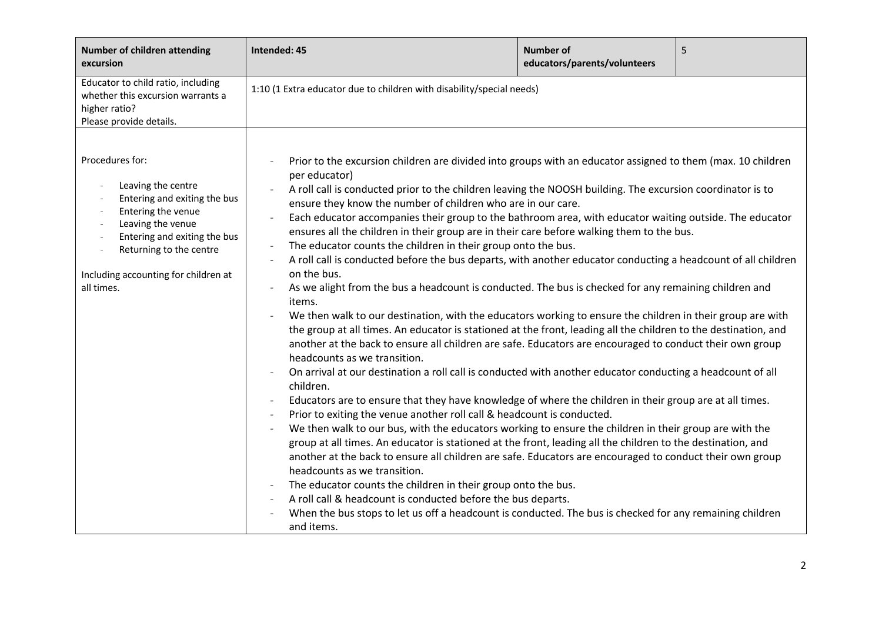| <b>Number of children attending</b><br>excursion                                                                                                                                                                                  | Intended: 45                                                                                                                                                                                                                                                                                                                                                                                                                                                                                                                                                                                                                                                                                                                                                                                                                                                                                                                                                                                                                                                                                                                                                                                                                                                                                                                                                                                                                                                                                                                                                                                                                                                                                                                                                                                                                                                                                                                                                                                                                                                                                                                                                                                    | <b>Number of</b><br>educators/parents/volunteers | 5 |
|-----------------------------------------------------------------------------------------------------------------------------------------------------------------------------------------------------------------------------------|-------------------------------------------------------------------------------------------------------------------------------------------------------------------------------------------------------------------------------------------------------------------------------------------------------------------------------------------------------------------------------------------------------------------------------------------------------------------------------------------------------------------------------------------------------------------------------------------------------------------------------------------------------------------------------------------------------------------------------------------------------------------------------------------------------------------------------------------------------------------------------------------------------------------------------------------------------------------------------------------------------------------------------------------------------------------------------------------------------------------------------------------------------------------------------------------------------------------------------------------------------------------------------------------------------------------------------------------------------------------------------------------------------------------------------------------------------------------------------------------------------------------------------------------------------------------------------------------------------------------------------------------------------------------------------------------------------------------------------------------------------------------------------------------------------------------------------------------------------------------------------------------------------------------------------------------------------------------------------------------------------------------------------------------------------------------------------------------------------------------------------------------------------------------------------------------------|--------------------------------------------------|---|
| Educator to child ratio, including<br>whether this excursion warrants a<br>higher ratio?<br>Please provide details.                                                                                                               | 1:10 (1 Extra educator due to children with disability/special needs)                                                                                                                                                                                                                                                                                                                                                                                                                                                                                                                                                                                                                                                                                                                                                                                                                                                                                                                                                                                                                                                                                                                                                                                                                                                                                                                                                                                                                                                                                                                                                                                                                                                                                                                                                                                                                                                                                                                                                                                                                                                                                                                           |                                                  |   |
| Procedures for:<br>Leaving the centre<br>Entering and exiting the bus<br>Entering the venue<br>Leaving the venue<br>Entering and exiting the bus<br>Returning to the centre<br>Including accounting for children at<br>all times. | Prior to the excursion children are divided into groups with an educator assigned to them (max. 10 children<br>per educator)<br>A roll call is conducted prior to the children leaving the NOOSH building. The excursion coordinator is to<br>ensure they know the number of children who are in our care.<br>Each educator accompanies their group to the bathroom area, with educator waiting outside. The educator<br>$\overline{\phantom{a}}$<br>ensures all the children in their group are in their care before walking them to the bus.<br>The educator counts the children in their group onto the bus.<br>A roll call is conducted before the bus departs, with another educator conducting a headcount of all children<br>on the bus.<br>As we alight from the bus a headcount is conducted. The bus is checked for any remaining children and<br>items.<br>We then walk to our destination, with the educators working to ensure the children in their group are with<br>the group at all times. An educator is stationed at the front, leading all the children to the destination, and<br>another at the back to ensure all children are safe. Educators are encouraged to conduct their own group<br>headcounts as we transition.<br>On arrival at our destination a roll call is conducted with another educator conducting a headcount of all<br>children.<br>Educators are to ensure that they have knowledge of where the children in their group are at all times.<br>Prior to exiting the venue another roll call & headcount is conducted.<br>We then walk to our bus, with the educators working to ensure the children in their group are with the<br>group at all times. An educator is stationed at the front, leading all the children to the destination, and<br>another at the back to ensure all children are safe. Educators are encouraged to conduct their own group<br>headcounts as we transition.<br>The educator counts the children in their group onto the bus.<br>A roll call & headcount is conducted before the bus departs.<br>When the bus stops to let us off a headcount is conducted. The bus is checked for any remaining children<br>and items. |                                                  |   |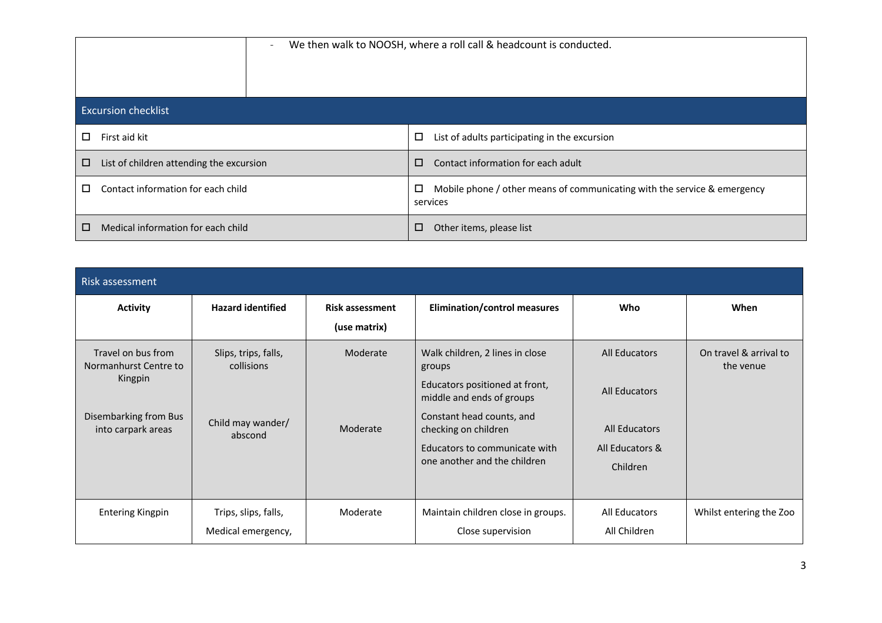| $\overline{\phantom{a}}$                 | We then walk to NOOSH, where a roll call & headcount is conducted.                             |  |  |  |
|------------------------------------------|------------------------------------------------------------------------------------------------|--|--|--|
| <b>Excursion checklist</b>               |                                                                                                |  |  |  |
| □                                        | □                                                                                              |  |  |  |
| First aid kit                            | List of adults participating in the excursion                                                  |  |  |  |
| 0                                        | Contact information for each adult                                                             |  |  |  |
| List of children attending the excursion | $\Box$                                                                                         |  |  |  |
| Contact information for each child<br>п  | $\Box$<br>Mobile phone / other means of communicating with the service & emergency<br>services |  |  |  |
| Medical information for each child       | $\Box$                                                                                         |  |  |  |
| □                                        | Other items, please list                                                                       |  |  |  |

| <b>Risk assessment</b>                                                                                |                                                                    |                                        |                                                                                                                                                                                                                                |                                                                                              |                                     |
|-------------------------------------------------------------------------------------------------------|--------------------------------------------------------------------|----------------------------------------|--------------------------------------------------------------------------------------------------------------------------------------------------------------------------------------------------------------------------------|----------------------------------------------------------------------------------------------|-------------------------------------|
| <b>Activity</b>                                                                                       | <b>Hazard identified</b>                                           | <b>Risk assessment</b><br>(use matrix) | <b>Elimination/control measures</b>                                                                                                                                                                                            | <b>Who</b>                                                                                   | When                                |
| Travel on bus from<br>Normanhurst Centre to<br>Kingpin<br>Disembarking from Bus<br>into carpark areas | Slips, trips, falls,<br>collisions<br>Child may wander/<br>abscond | Moderate<br>Moderate                   | Walk children, 2 lines in close<br>groups<br>Educators positioned at front,<br>middle and ends of groups<br>Constant head counts, and<br>checking on children<br>Educators to communicate with<br>one another and the children | <b>All Educators</b><br><b>All Educators</b><br>All Educators<br>All Educators &<br>Children | On travel & arrival to<br>the venue |
| <b>Entering Kingpin</b>                                                                               | Trips, slips, falls,<br>Medical emergency,                         | Moderate                               | Maintain children close in groups.<br>Close supervision                                                                                                                                                                        | All Educators<br>All Children                                                                | Whilst entering the Zoo             |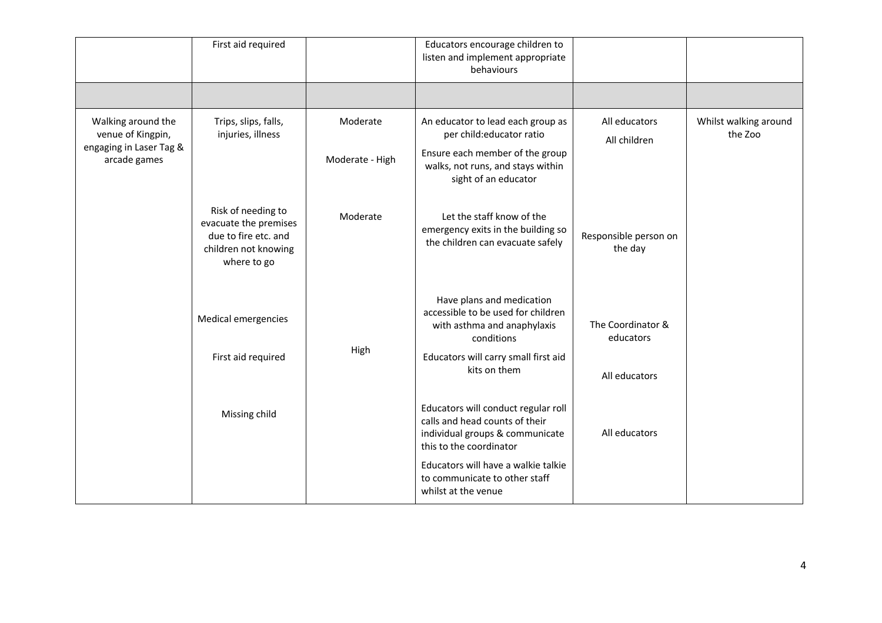|                                                                                    | First aid required                                                                                         |                             | Educators encourage children to<br>listen and implement appropriate<br>behaviours                                                                                                                                                  |                                                 |                                  |
|------------------------------------------------------------------------------------|------------------------------------------------------------------------------------------------------------|-----------------------------|------------------------------------------------------------------------------------------------------------------------------------------------------------------------------------------------------------------------------------|-------------------------------------------------|----------------------------------|
|                                                                                    |                                                                                                            |                             |                                                                                                                                                                                                                                    |                                                 |                                  |
| Walking around the<br>venue of Kingpin,<br>engaging in Laser Tag &<br>arcade games | Trips, slips, falls,<br>injuries, illness                                                                  | Moderate<br>Moderate - High | An educator to lead each group as<br>per child:educator ratio<br>Ensure each member of the group<br>walks, not runs, and stays within<br>sight of an educator                                                                      | All educators<br>All children                   | Whilst walking around<br>the Zoo |
|                                                                                    | Risk of needing to<br>evacuate the premises<br>due to fire etc. and<br>children not knowing<br>where to go | Moderate                    | Let the staff know of the<br>emergency exits in the building so<br>the children can evacuate safely                                                                                                                                | Responsible person on<br>the day                |                                  |
|                                                                                    | Medical emergencies<br>First aid required                                                                  | High                        | Have plans and medication<br>accessible to be used for children<br>with asthma and anaphylaxis<br>conditions<br>Educators will carry small first aid<br>kits on them                                                               | The Coordinator &<br>educators<br>All educators |                                  |
|                                                                                    | Missing child                                                                                              |                             | Educators will conduct regular roll<br>calls and head counts of their<br>individual groups & communicate<br>this to the coordinator<br>Educators will have a walkie talkie<br>to communicate to other staff<br>whilst at the venue | All educators                                   |                                  |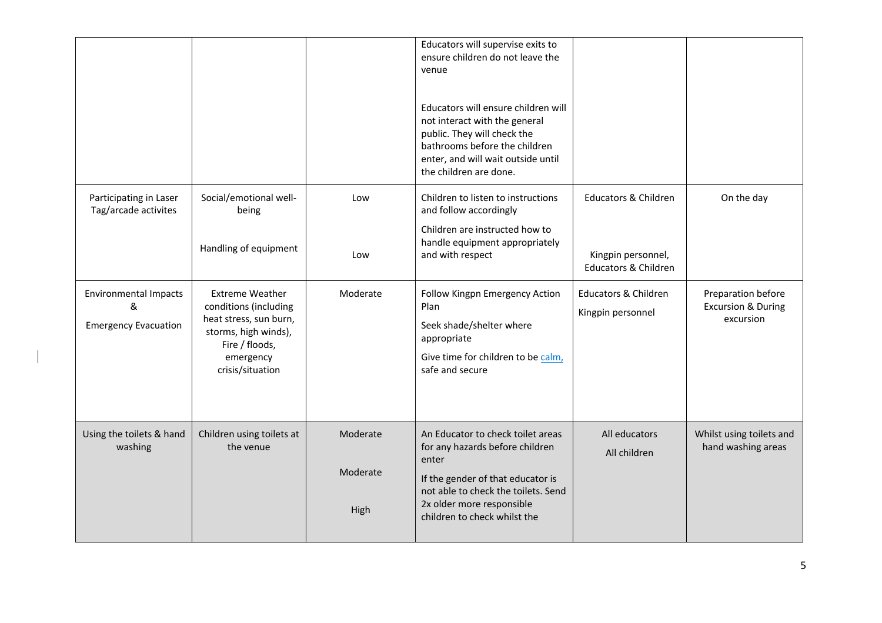|                                                                  |                                                                                                                                                      |                              | Educators will supervise exits to<br>ensure children do not leave the<br>venue<br>Educators will ensure children will<br>not interact with the general<br>public. They will check the<br>bathrooms before the children<br>enter, and will wait outside until<br>the children are done. |                                                                                          |                                                                  |
|------------------------------------------------------------------|------------------------------------------------------------------------------------------------------------------------------------------------------|------------------------------|----------------------------------------------------------------------------------------------------------------------------------------------------------------------------------------------------------------------------------------------------------------------------------------|------------------------------------------------------------------------------------------|------------------------------------------------------------------|
| Participating in Laser<br>Tag/arcade activites                   | Social/emotional well-<br>being<br>Handling of equipment                                                                                             | Low<br>Low                   | Children to listen to instructions<br>and follow accordingly<br>Children are instructed how to<br>handle equipment appropriately<br>and with respect                                                                                                                                   | <b>Educators &amp; Children</b><br>Kingpin personnel,<br><b>Educators &amp; Children</b> | On the day                                                       |
| <b>Environmental Impacts</b><br>&<br><b>Emergency Evacuation</b> | <b>Extreme Weather</b><br>conditions (including<br>heat stress, sun burn,<br>storms, high winds),<br>Fire / floods,<br>emergency<br>crisis/situation | Moderate                     | Follow Kingpn Emergency Action<br>Plan<br>Seek shade/shelter where<br>appropriate<br>Give time for children to be calm,<br>safe and secure                                                                                                                                             | <b>Educators &amp; Children</b><br>Kingpin personnel                                     | Preparation before<br><b>Excursion &amp; During</b><br>excursion |
| Using the toilets & hand<br>washing                              | Children using toilets at<br>the venue                                                                                                               | Moderate<br>Moderate<br>High | An Educator to check toilet areas<br>for any hazards before children<br>enter<br>If the gender of that educator is<br>not able to check the toilets. Send<br>2x older more responsible<br>children to check whilst the                                                                 | All educators<br>All children                                                            | Whilst using toilets and<br>hand washing areas                   |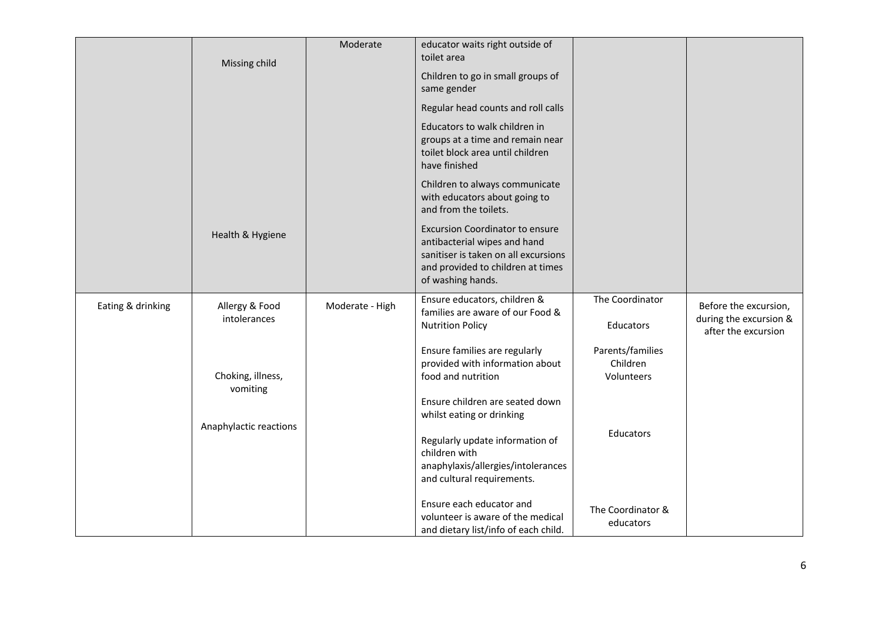|                   | Missing child                  | Moderate        | educator waits right outside of<br>toilet area                                                                                                                           |                        |                                                 |
|-------------------|--------------------------------|-----------------|--------------------------------------------------------------------------------------------------------------------------------------------------------------------------|------------------------|-------------------------------------------------|
|                   |                                |                 | Children to go in small groups of<br>same gender                                                                                                                         |                        |                                                 |
|                   |                                |                 | Regular head counts and roll calls                                                                                                                                       |                        |                                                 |
|                   |                                |                 | Educators to walk children in<br>groups at a time and remain near<br>toilet block area until children<br>have finished                                                   |                        |                                                 |
|                   |                                |                 | Children to always communicate<br>with educators about going to<br>and from the toilets.                                                                                 |                        |                                                 |
|                   | Health & Hygiene               |                 | <b>Excursion Coordinator to ensure</b><br>antibacterial wipes and hand<br>sanitiser is taken on all excursions<br>and provided to children at times<br>of washing hands. |                        |                                                 |
| Eating & drinking | Allergy & Food<br>intolerances | Moderate - High | Ensure educators, children &<br>families are aware of our Food &                                                                                                         | The Coordinator        | Before the excursion,<br>during the excursion & |
|                   |                                |                 | <b>Nutrition Policy</b>                                                                                                                                                  | <b>Educators</b>       | after the excursion                             |
|                   |                                |                 | Ensure families are regularly                                                                                                                                            | Parents/families       |                                                 |
|                   | Choking, illness,              |                 | provided with information about<br>food and nutrition                                                                                                                    | Children<br>Volunteers |                                                 |
|                   | vomiting                       |                 | Ensure children are seated down                                                                                                                                          |                        |                                                 |
|                   | Anaphylactic reactions         |                 | whilst eating or drinking                                                                                                                                                |                        |                                                 |
|                   |                                |                 | Regularly update information of                                                                                                                                          | Educators              |                                                 |
|                   |                                |                 | children with<br>anaphylaxis/allergies/intolerances                                                                                                                      |                        |                                                 |
|                   |                                |                 | and cultural requirements.                                                                                                                                               |                        |                                                 |
|                   |                                |                 | Ensure each educator and                                                                                                                                                 | The Coordinator &      |                                                 |
|                   |                                |                 | volunteer is aware of the medical<br>and dietary list/info of each child.                                                                                                | educators              |                                                 |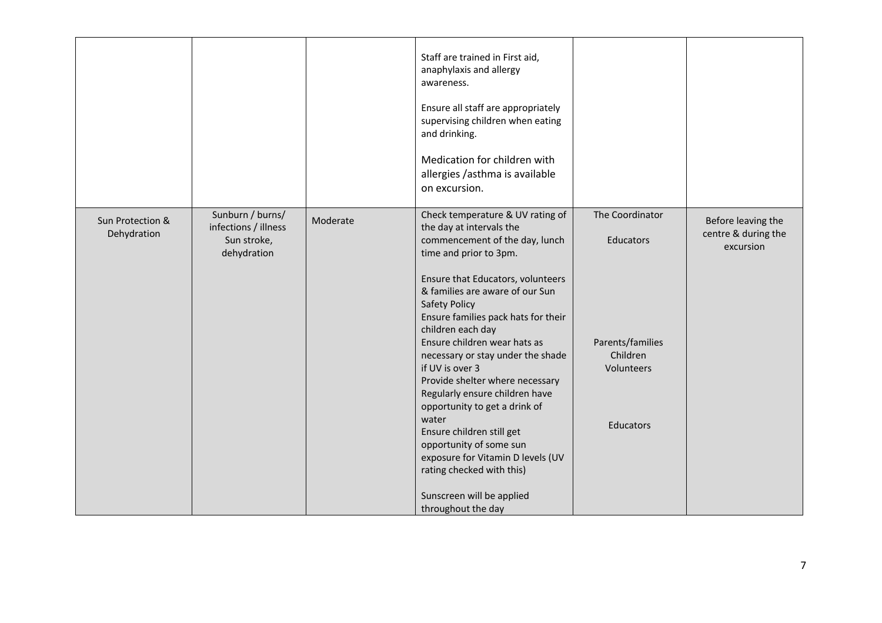|                                 |                                                                        |          | Staff are trained in First aid,<br>anaphylaxis and allergy<br>awareness.<br>Ensure all staff are appropriately<br>supervising children when eating<br>and drinking.<br>Medication for children with<br>allergies /asthma is available<br>on excursion.                                                                                                                                                                                                                                                                                                                                                                                                                   |                                                                                         |                                                        |
|---------------------------------|------------------------------------------------------------------------|----------|--------------------------------------------------------------------------------------------------------------------------------------------------------------------------------------------------------------------------------------------------------------------------------------------------------------------------------------------------------------------------------------------------------------------------------------------------------------------------------------------------------------------------------------------------------------------------------------------------------------------------------------------------------------------------|-----------------------------------------------------------------------------------------|--------------------------------------------------------|
| Sun Protection &<br>Dehydration | Sunburn / burns/<br>infections / illness<br>Sun stroke,<br>dehydration | Moderate | Check temperature & UV rating of<br>the day at intervals the<br>commencement of the day, lunch<br>time and prior to 3pm.<br>Ensure that Educators, volunteers<br>& families are aware of our Sun<br><b>Safety Policy</b><br>Ensure families pack hats for their<br>children each day<br>Ensure children wear hats as<br>necessary or stay under the shade<br>if UV is over 3<br>Provide shelter where necessary<br>Regularly ensure children have<br>opportunity to get a drink of<br>water<br>Ensure children still get<br>opportunity of some sun<br>exposure for Vitamin D levels (UV<br>rating checked with this)<br>Sunscreen will be applied<br>throughout the day | The Coordinator<br>Educators<br>Parents/families<br>Children<br>Volunteers<br>Educators | Before leaving the<br>centre & during the<br>excursion |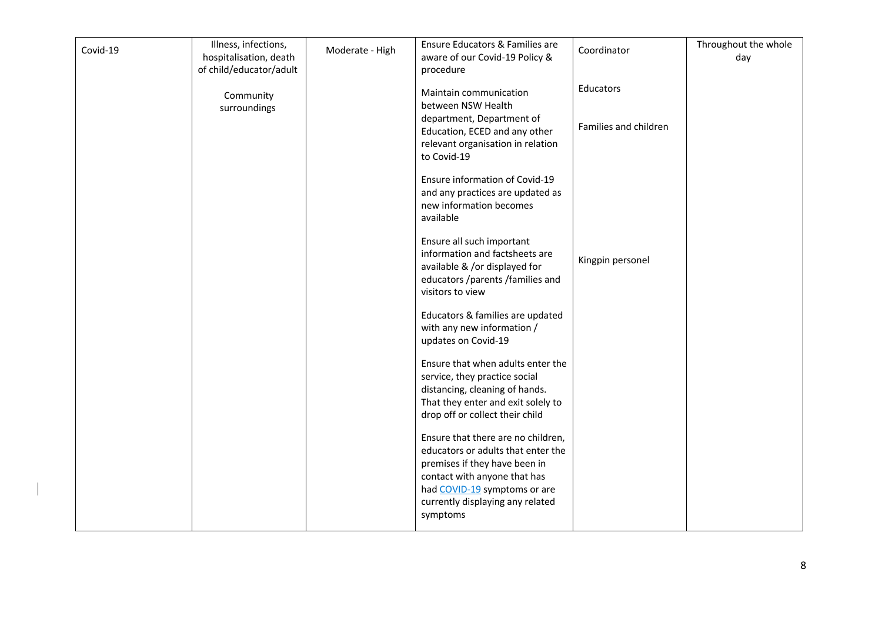| Covid-19 | Illness, infections,<br>hospitalisation, death<br>of child/educator/adult | Moderate - High | Ensure Educators & Families are<br>aware of our Covid-19 Policy &<br>procedure                                                                                                                                            | Coordinator                        | Throughout the whole<br>day |
|----------|---------------------------------------------------------------------------|-----------------|---------------------------------------------------------------------------------------------------------------------------------------------------------------------------------------------------------------------------|------------------------------------|-----------------------------|
|          | Community<br>surroundings                                                 |                 | Maintain communication<br>between NSW Health<br>department, Department of<br>Education, ECED and any other<br>relevant organisation in relation                                                                           | Educators<br>Families and children |                             |
|          |                                                                           |                 | to Covid-19<br>Ensure information of Covid-19<br>and any practices are updated as<br>new information becomes<br>available                                                                                                 |                                    |                             |
|          |                                                                           |                 | Ensure all such important<br>information and factsheets are<br>available & /or displayed for<br>educators /parents /families and<br>visitors to view                                                                      | Kingpin personel                   |                             |
|          |                                                                           |                 | Educators & families are updated<br>with any new information /<br>updates on Covid-19                                                                                                                                     |                                    |                             |
|          |                                                                           |                 | Ensure that when adults enter the<br>service, they practice social<br>distancing, cleaning of hands.<br>That they enter and exit solely to<br>drop off or collect their child                                             |                                    |                             |
|          |                                                                           |                 | Ensure that there are no children,<br>educators or adults that enter the<br>premises if they have been in<br>contact with anyone that has<br>had COVID-19 symptoms or are<br>currently displaying any related<br>symptoms |                                    |                             |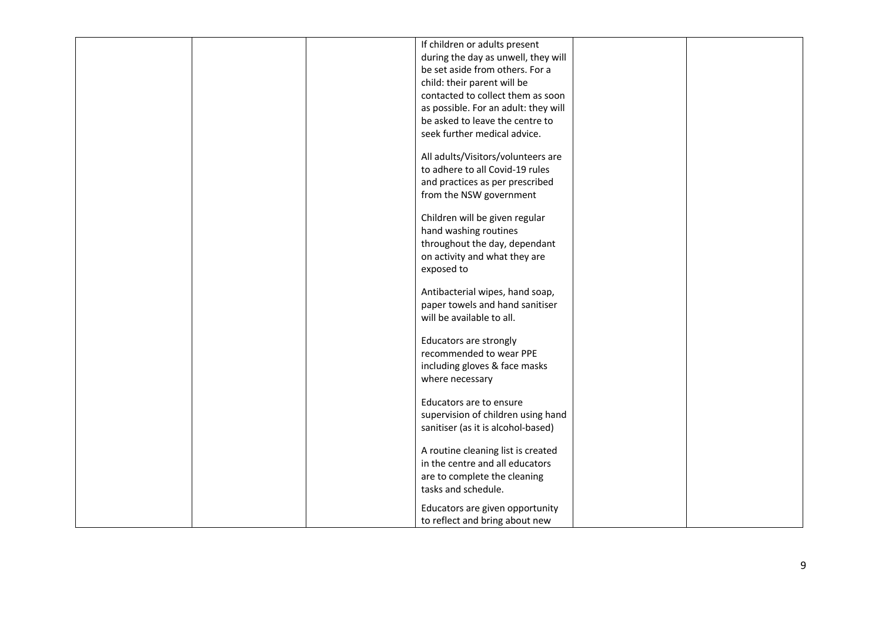|  | If children or adults present        |  |
|--|--------------------------------------|--|
|  | during the day as unwell, they will  |  |
|  | be set aside from others. For a      |  |
|  | child: their parent will be          |  |
|  | contacted to collect them as soon    |  |
|  |                                      |  |
|  | as possible. For an adult: they will |  |
|  | be asked to leave the centre to      |  |
|  | seek further medical advice.         |  |
|  |                                      |  |
|  | All adults/Visitors/volunteers are   |  |
|  | to adhere to all Covid-19 rules      |  |
|  | and practices as per prescribed      |  |
|  | from the NSW government              |  |
|  |                                      |  |
|  | Children will be given regular       |  |
|  | hand washing routines                |  |
|  | throughout the day, dependant        |  |
|  | on activity and what they are        |  |
|  | exposed to                           |  |
|  |                                      |  |
|  | Antibacterial wipes, hand soap,      |  |
|  | paper towels and hand sanitiser      |  |
|  | will be available to all.            |  |
|  |                                      |  |
|  | Educators are strongly               |  |
|  | recommended to wear PPE              |  |
|  | including gloves & face masks        |  |
|  | where necessary                      |  |
|  |                                      |  |
|  | Educators are to ensure              |  |
|  | supervision of children using hand   |  |
|  | sanitiser (as it is alcohol-based)   |  |
|  |                                      |  |
|  | A routine cleaning list is created   |  |
|  | in the centre and all educators      |  |
|  | are to complete the cleaning         |  |
|  | tasks and schedule.                  |  |
|  |                                      |  |
|  | Educators are given opportunity      |  |
|  | to reflect and bring about new       |  |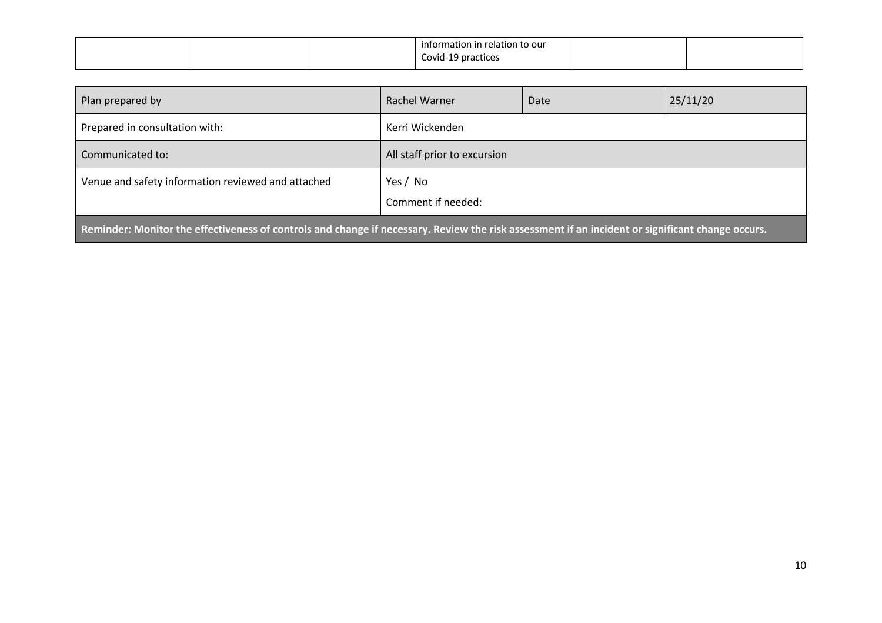|  | information in relation to our |  |
|--|--------------------------------|--|
|  | Covid-19 practices<br>.        |  |

| Plan prepared by                                                                                                                                 | Rachel Warner                  | Date | 25/11/20 |  |  |
|--------------------------------------------------------------------------------------------------------------------------------------------------|--------------------------------|------|----------|--|--|
| Prepared in consultation with:                                                                                                                   | Kerri Wickenden                |      |          |  |  |
| Communicated to:                                                                                                                                 | All staff prior to excursion   |      |          |  |  |
| Venue and safety information reviewed and attached                                                                                               | Yes / No<br>Comment if needed: |      |          |  |  |
| Reminder: Monitor the effectiveness of controls and change if necessary. Review the risk assessment if an incident or significant change occurs. |                                |      |          |  |  |